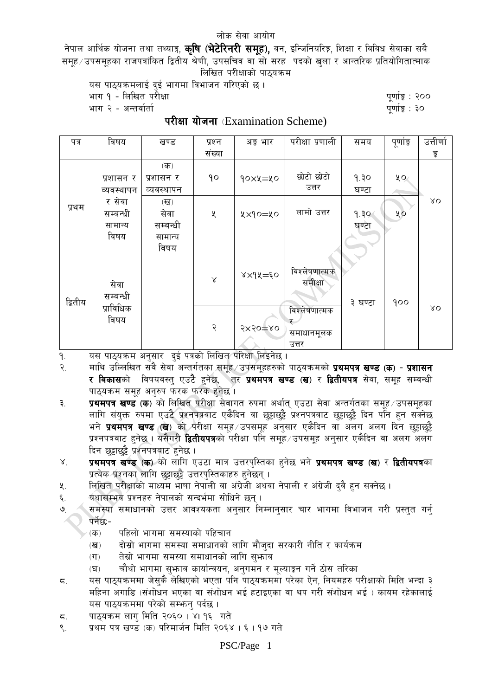## लोक सेवा आयोग

नेपाल आर्थिक योजना तथा तथ्याङ्ग, **कृषि (भेटेरिनरी समूह),** वन, इन्जिनियरिङ्ग, शिक्षा र विविध सेवाका सबै समह ∕ उपसमहका राजपत्रांकित द्वितीय श्रेणी, उपसचिव वा सो सरह) पदको खला र आन्तरिक प्रतियोगितात्माक लिखित परीक्षाको पाठयक्रम

यस पाठ्यक्रमलाई दई भागमा विभाजन गरिएको छ।

भाग १ - लिखित परीक्षा

पुर्णाङ्क : २०० पुर्णाङ्क : ३०

भाग २ - अन्तर्वार्ता

परीक्षा योजना (Examination Scheme)

| पत्र    | विषय                                  | खण्ड                                                    | प्रश्न            | अङ्ग भार    | परीक्षा प्रणाली                           | समय           | पूर्णाङ्क            | उत्तीर्णा   |
|---------|---------------------------------------|---------------------------------------------------------|-------------------|-------------|-------------------------------------------|---------------|----------------------|-------------|
|         |                                       |                                                         | संख्या            |             |                                           |               |                      | डु          |
| प्रथम   | प्रशासन र<br>व्यवस्थापन               | $($ क)<br>प्रशासन र<br>व्यवस्थापन                       | $\mathsf{q}\circ$ | 90xy=yo     | छोटो छोटो<br>उत्तर                        | 9.30<br>घण्टा | ५०<br>0 <sup>9</sup> |             |
|         | र सेवा<br>सम्बन्धी<br>सामान्य<br>विषय | $(\overline{d})$<br>सेवा<br>सम्बन्धी<br>सामान्य<br>विषय | X                 | ५×१०=५०     | लामो उत्तर                                | 9.30<br>घण्टा |                      | $\lambda$ O |
| द्वितीय | सेवा<br>सम्बन्धी<br>प्राविधिक<br>विषय |                                                         | $\propto$         | $xx9x = 50$ | विश्लेषणात्मक<br>समीक्षा                  | ३ घण्टा       | 900                  |             |
|         |                                       |                                                         | २                 | $5x50 = 80$ | विश्लेषणात्मक<br>ᡒ<br>समाधानमूलक<br>उत्तर |               |                      | $\lambda$ O |

यस पाठ्यक्रम अनुसार दुई पत्रको लिखित परिक्षा लिइनेछ । ۹.

माथि उल्लिखित सबै सेवा अन्तर्गतका समूह उपसमूहहरुको पाठ्यक्रमको **प्रथमपत्र खण्ड (क) - प्रशासन**  $\widetilde{\mathcal{R}}$ र विकासको विषयवस्तु एउटै हुनेछ, <sup>े</sup>तर प्रथमपत्र खण्ड (ख) र द्वितीयपत्र सेवा, समूह सम्वन्धी पाठ्यक्रम समूह अनुरुप फरक फरक हुनेछ ।

- प्रथमपत्र खण्ड (क) को लिखित परीक्षा सेवागत रुपमा अर्थात एउटा सेवा अन्तर्गतका समह उपसमहका  $\mathbf{a}$ लागि संयक्त रुपमा एउटै प्रश्नपत्रवाट एकैदिन वा छट्टाछट्टै प्रश्नपत्रवाट छट्टाछट्टै दिन पान हन सक्नेछ भने **प्रथमपत्र खण्ड (ख**) को परीक्षा समूह उपसमूह अनुसार एकैदिन वा अलग अलग दिन छुट्टाछुट्टै प्रश्नपत्रवाट हनेछ । यसैगरी **द्वितीयपत्र**को परीक्षा पनि समह ∕ उपसमह अनसार एकैदिन वा अलग अलग दिन छट्टाछुट्टै प्रश्नपत्रबाट हनेछ।
- प्रथमपत्र खण्ड (क) को लागि एउटा मात्र उत्तरपुस्तिका हुनेछ भने प्रथमपत्र खण्ड (ख) र द्वितीयपत्रका  $X_{1}$ प्रत्येक प्रश्नका लागि छट्टाछट्टै उत्तरपुस्तिकाहरु हुनेछन् ।
- लिखित परीक्षाको माध्यम भाषा नेपाली वा अंग्रेजी अथवा नेपाली र अंग्रेजी दुवै हुन सक्नेछ ।  $x_{1}$
- यथासम्भवं प्रश्नहरु नेपालको सन्दर्भमा सोधिने छन्। ६.
- समस्या समाधानको उत्तर आवश्यकता अनुसार निम्नानुसार चार भागमा विभाजन गरी प्रस्तुत गर्नु  $\mathcal{O}$ पर्नेछ:-
	- पहिलो भागमा समस्याको पहिचान  $\overline{d}$
	- दोस्रो भागमा समस्या समाधानको लागि मौजुदा सरकारी नीति र कार्यक्रम  $(\overline{d})$
	- तेस्रो भागमा समस्या समाधानको लागि सुभगव  $(T)$
	- चौथो भागमा सुभाव कार्यान्वयन, अनुगमन र मुल्याङून गर्ने ठोस तरिका  $(\nabla)$
- यस पाठ्यक्रममा जेसुकै लेखिएको भएता पनि पाठ्यक्रममा परेका ऐन, नियमहरु परीक्षाको मिति भन्दा ३  $\overline{\varsigma}$ . महिना अगाडि (संशोधन भएका वा संशोधन भई हटाइएका वा थप गरी संशोधन भई ) कायम रहेकालाई यस पाठ्यक्रममा परेको सम्भन् पर्दछ।
- पाठ्यक्रम लाग मिति २०६० । ४। १६ गते  $\overline{\mathsf{c}}$ .
- प्रथम पत्र खण्ड (क) परिमार्जन मिति २०६४ । ६ । १७ गते  $\mathcal{R}_{\mathcal{L}}$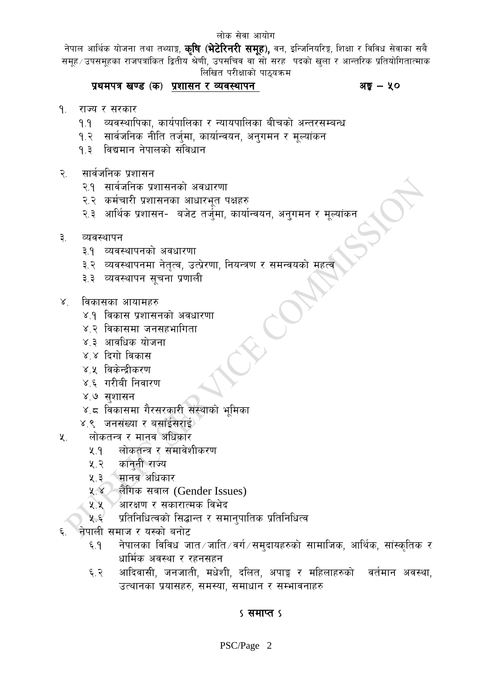नेपाल आर्थिक योजना तथा तथ्याङ्ग, **कृषि (भेटेरिनरी समूह),** वन, इन्जिनियरिङ्ग, शिक्षा र विविध सेवाका सबै समह ∕ उपसमहका राजपत्रांकित द्वितीय श्रेणी, उपसचिव वा सो सरह पदको खला र आन्तरिक प्रतियोगितात्माक लिखित परीक्षाको पाठयक्रम

# प्रथमपत्र खण्ड (क) प्रशासन र व्यवस्थापन

## अङ्क $-$  ५०

- ۹. राज्य र सरकार
	- व्यवस्थापिका, कार्यपालिका र न्यायपालिका बीचको अन्तरसम्बन्ध  $9.9$
	- सार्वजनिक नीति तर्जुमा, कार्यान्वयन, अनुगमन र मुल्यांकन  $9.3$
	- $9.3$ विद्यमान नेपालको संविधान
- सार्वजनिक प्रशासन  $\widetilde{\mathcal{R}}$ 
	- २.१ सार्वजनिक प्रशासनको अवधारणा
	- २.२ कर्मचारी प्रशासनका आधारभुत पक्षहरु
	- २.३ आर्थिक प्रशासन- बजेट तर्जुमा, कार्यान्वयन, अनुगमन र मूल्यांकन
- ३. व्यवस्थापन
	- ३.१ व्यवस्थापनको अवधारणा
	- ३.२ व्यवस्थापनमा नेतृत्व, उत्प्रेरणा, नियन्त्रण र समन्वयको महत्व
	- ३.३ व्यवस्थापन सचना प्रणाली
- विकासका आयामहरु  $X_{-}$ 
	- ४.१ विकास प्रशासनको अवधारणा
	- ४.२ विकासमा जनसहभागिता
	- ४.३ आवधिक योजना
	- ४.४ दिगो विकास
	- ४.५ विकेन्द्रीकरण
	- ४.६ गरीबी निवारण
	- ४.७ सशासन
	- ४.८ विकासमा गैरसरकारी संस्थाको भूमिका
	- ४.९ जनसंख्या र बसाँईसराई
- $\lambda$ . लोकतन्त्र र मानव अधिकार
	- लोकतन्त्र र समावेशीकरण  $9 \times$
	- कानुनी राज्य ५.२
	- मानव अधिकार  $4.3$
	- लैंगिक सवाल (Gender Issues)  $X^{\prime}$
	- ्रआरक्षण र सकारात्मक विभेद  $4.4$
	- प्रतिनिधित्वको सिद्धान्त र समान्पातिक प्रतिनिधित्व  $4.5$
- नेपाली समाज र यस्को बनोट
	- नेपालका विविध जात जाति / वर्ग / समुदायहरुको सामाजिक, आर्थिक, सांस्कृतिक र  $5.9$ धार्मिक अवस्था र रहनसहन
	- आदिवासी, जनजाती, मधेशी, दलित, अपाङ्ग र महिलाहरुको वर्तमान अवस्था, ६.२ उत्थानका प्रयासहरु, समस्या, समाधान र सम्भावनाहरु

# ऽ समाप्त ऽ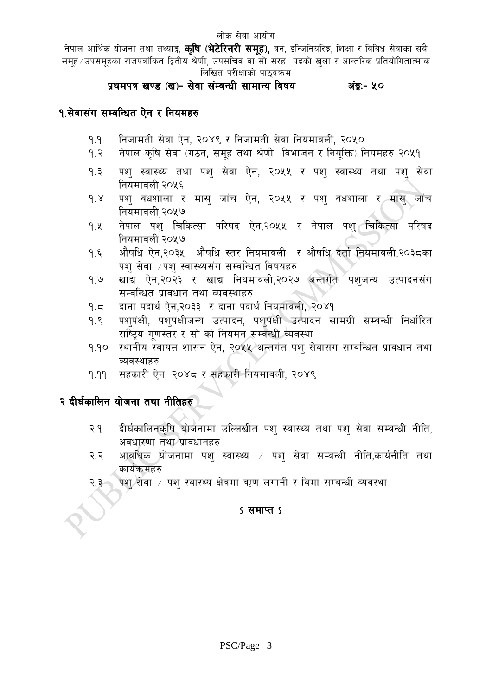नेपाल आर्थिक योजना तथा तथ्याङ्ग, **कृषि (भेटेरिनरी समूह),** वन, इन्जिनियरिङ्ग, शिक्षा र विविध सेवाका सबै समूह ∕ उपसमूहका राजपत्रांकित द्वितीय श्रेणी, उपसचिव वा सो सरह पदको खुला र आन्तरिक प्रतियोगितात्माक लिखित परीक्षाको पाठयक्रम

#### प्रथमपत्र खण्ड (ख)- सेवा संम्वन्धी सामान्य विषय अंङ्र:- ५०

# १.सेवासंग सम्वन्धित ऐन र नियमहरु

- निजामती सेवा ऐन, २०४९ र निजामती सेवा नियमावली, २०५०  $9.9$
- नेपाल कृषि सेवा (गठन, समूह तथा श्रेणी विभाजन र नियूक्ति) नियमहरु २०५१ 9. $\tilde{z}$
- पश स्वास्थ्य तथा पश सेवा ऐन, २०५५ र पश स्वास्थ्य तथा पश सेवा  $5.9$ नियमावली.२०५६
- पशु वधशाला र मासु जांच ऐन, २<mark>०५५ र</mark> पशु वधशाला र मासु जांच  $9.8$ नियमावली,२०५७\_
- नेपाल पश् चिकित्सा परिषद ऐन,२०५५ र नेपाल पश् चिकित्सा परिषद  $9.8$ नियमावली.२०५७
- औषधि ऐन,२०३५ औषधि स्तर नियमावली र औषधि दर्ता नियमावली,२०३८का  $9.5$ पश सेवा ⁄पश स्वास्थ्यसंग सम्वन्धित विषयहरु
- खाद्य ऐन,२०२३ र खाद्य नियमावली,२०२७ अन्तर्गत पशुजन्य उत्पादनसंग  $9.9$ सम्वन्धित प्रावधान तथा व्यवस्थाहरु
- दाना पदार्थ ऐन,२०३३ र दाना पदार्थ नियमावली, २०४१ 9. $5$
- पशुपंक्षी, पशुपंक्षीजन्य उत्पादन, पशुपंक्षी उत्पादन सामग्री सम्वन्धी निर्धारित  $9.8$ राष्टिय गणस्तर र सो को नियमन सम्बन्धी व्यवस्था
- स्थानीय स्वायत्त शासन ऐन, २०५५ अन्तर्गत पशु सेवासंग सम्वन्धित प्रावधान तथा  $9.90$ व्यवस्थाहरु
- सहकारी ऐन, २०४८ र सहकारी नियमावली, २०४९  $9.99$

# २ दीर्घकालिन योजना तथा नीतिहरु

- दीर्घकालिनकृषि योजनामा उल्लिखीत पशु स्वास्थ्य तथा पशु सेवा सम्वन्धी नीति,  $9.9$ अवधारणा तथा प्रावधानहरु
- आवधिक योजनामा पशु स्वास्थ्य / पशु सेवा सम्वन्धी नीति,कार्यनीति तथा २.२ कार्यक्रमहरु
- पश सेवा / पश स्वास्थ्य क्षेत्रमा ऋण लगानी र विमा सम्बन्धी व्यवस्था २.३

# ऽ समाप्त ऽ